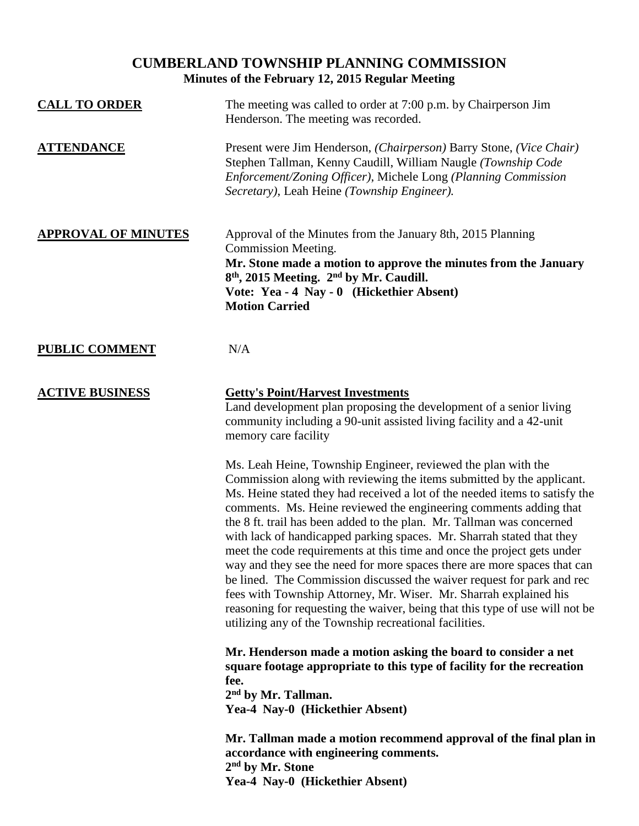## **CUMBERLAND TOWNSHIP PLANNING COMMISSION Minutes of the February 12, 2015 Regular Meeting**

| <b>CALL TO ORDER</b>       | The meeting was called to order at 7:00 p.m. by Chairperson Jim<br>Henderson. The meeting was recorded.                                                                                                                                                                                                                                                                                                                                                                                                                                                                                                                                                                                                                                                                                                                                                                                         |
|----------------------------|-------------------------------------------------------------------------------------------------------------------------------------------------------------------------------------------------------------------------------------------------------------------------------------------------------------------------------------------------------------------------------------------------------------------------------------------------------------------------------------------------------------------------------------------------------------------------------------------------------------------------------------------------------------------------------------------------------------------------------------------------------------------------------------------------------------------------------------------------------------------------------------------------|
| <b>ATTENDANCE</b>          | Present were Jim Henderson, (Chairperson) Barry Stone, (Vice Chair)<br>Stephen Tallman, Kenny Caudill, William Naugle (Township Code<br>Enforcement/Zoning Officer), Michele Long (Planning Commission<br>Secretary), Leah Heine (Township Engineer).                                                                                                                                                                                                                                                                                                                                                                                                                                                                                                                                                                                                                                           |
| <b>APPROVAL OF MINUTES</b> | Approval of the Minutes from the January 8th, 2015 Planning<br><b>Commission Meeting.</b><br>Mr. Stone made a motion to approve the minutes from the January<br>8 <sup>th</sup> , 2015 Meeting. 2 <sup>nd</sup> by Mr. Caudill.<br>Vote: Yea - 4 Nay - 0 (Hickethier Absent)<br><b>Motion Carried</b>                                                                                                                                                                                                                                                                                                                                                                                                                                                                                                                                                                                           |
| <b>PUBLIC COMMENT</b>      | N/A                                                                                                                                                                                                                                                                                                                                                                                                                                                                                                                                                                                                                                                                                                                                                                                                                                                                                             |
| <b>ACTIVE BUSINESS</b>     | <b>Getty's Point/Harvest Investments</b><br>Land development plan proposing the development of a senior living<br>community including a 90-unit assisted living facility and a 42-unit<br>memory care facility<br>Ms. Leah Heine, Township Engineer, reviewed the plan with the<br>Commission along with reviewing the items submitted by the applicant.<br>Ms. Heine stated they had received a lot of the needed items to satisfy the<br>comments. Ms. Heine reviewed the engineering comments adding that<br>the 8 ft. trail has been added to the plan. Mr. Tallman was concerned<br>with lack of handicapped parking spaces. Mr. Sharrah stated that they<br>meet the code requirements at this time and once the project gets under<br>way and they see the need for more spaces there are more spaces that can<br>be lined. The Commission discussed the waiver request for park and rec |
|                            | fees with Township Attorney, Mr. Wiser. Mr. Sharrah explained his<br>reasoning for requesting the waiver, being that this type of use will not be<br>utilizing any of the Township recreational facilities.                                                                                                                                                                                                                                                                                                                                                                                                                                                                                                                                                                                                                                                                                     |
|                            | Mr. Henderson made a motion asking the board to consider a net<br>square footage appropriate to this type of facility for the recreation<br>fee.<br>2 <sup>nd</sup> by Mr. Tallman.<br>Yea-4 Nay-0 (Hickethier Absent)                                                                                                                                                                                                                                                                                                                                                                                                                                                                                                                                                                                                                                                                          |
|                            | Mr. Tallman made a motion recommend approval of the final plan in<br>accordance with engineering comments.<br>2 <sup>nd</sup> by Mr. Stone<br>Yea-4 Nay-0 (Hickethier Absent)                                                                                                                                                                                                                                                                                                                                                                                                                                                                                                                                                                                                                                                                                                                   |